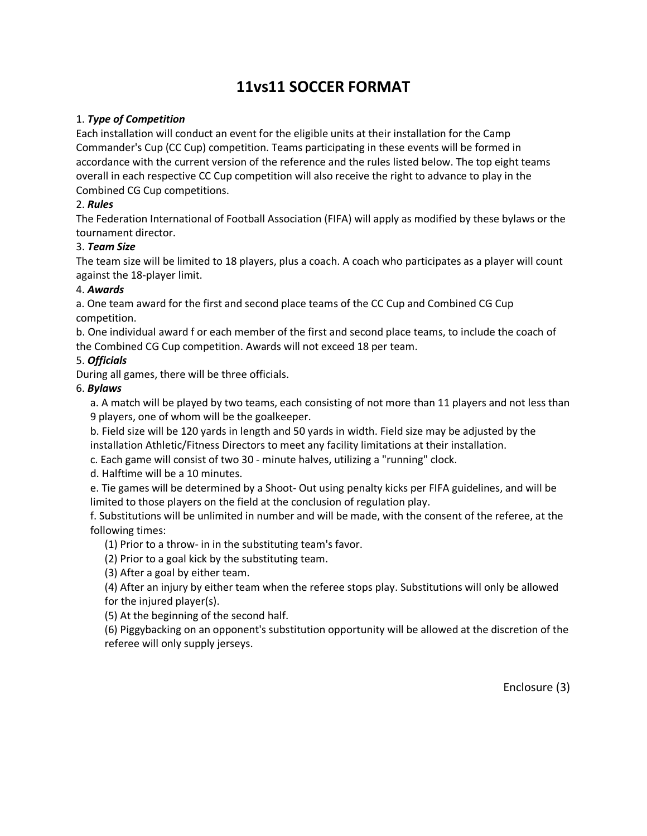## **11vs11 SOCCER FORMAT**

#### 1. *Type of Competition*

Each installation will conduct an event for the eligible units at their installation for the Camp Commander's Cup (CC Cup) competition. Teams participating in these events will be formed in accordance with the current version of the reference and the rules listed below. The top eight teams overall in each respective CC Cup competition will also receive the right to advance to play in the Combined CG Cup competitions.

### 2. *Rules*

The Federation International of Football Association (FIFA) will apply as modified by these bylaws or the tournament director.

#### 3. *Team Size*

The team size will be limited to 18 players, plus a coach. A coach who participates as a player will count against the 18-player limit.

#### 4. *Awards*

a. One team award for the first and second place teams of the CC Cup and Combined CG Cup competition.

b. One individual award f or each member of the first and second place teams, to include the coach of the Combined CG Cup competition. Awards will not exceed 18 per team.

#### 5. *Officials*

During all games, there will be three officials.

#### 6. *Bylaws*

a. A match will be played by two teams, each consisting of not more than 11 players and not less than 9 players, one of whom will be the goalkeeper.

b. Field size will be 120 yards in length and 50 yards in width. Field size may be adjusted by the installation Athletic/Fitness Directors to meet any facility limitations at their installation.

c. Each game will consist of two 30 - minute halves, utilizing a "running" clock.

d. Halftime will be a 10 minutes.

e. Tie games will be determined by a Shoot- Out using penalty kicks per FIFA guidelines, and will be limited to those players on the field at the conclusion of regulation play.

f. Substitutions will be unlimited in number and will be made, with the consent of the referee, at the following times:

(1) Prior to a throw- in in the substituting team's favor.

(2) Prior to a goal kick by the substituting team.

(3) After a goal by either team.

(4) After an injury by either team when the referee stops play. Substitutions will only be allowed for the injured player(s).

(5) At the beginning of the second half.

(6) Piggybacking on an opponent's substitution opportunity will be allowed at the discretion of the referee will only supply jerseys.

Enclosure (3)